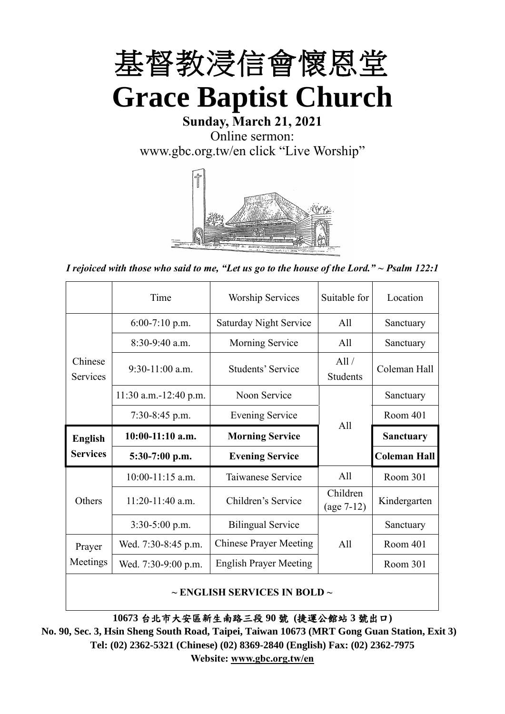

# **Sunday, March 21, 2021** Online sermon: [www.gbc.org.tw/en](http://www.gbc.org.tw/en) click "Live Worship"



*I rejoiced with those who said to me, "Let us go to the house of the Lord." ~ Psalm 122:1*

|                            | Time                                   | <b>Worship Services</b>       | Suitable for             | Location            |
|----------------------------|----------------------------------------|-------------------------------|--------------------------|---------------------|
|                            | $6:00-7:10$ p.m.                       | <b>Saturday Night Service</b> | All                      | Sanctuary           |
|                            | $8:30-9:40$ a.m.                       | <b>Morning Service</b>        | All                      | Sanctuary           |
| Chinese<br><b>Services</b> | $9:30-11:00$ a.m.<br>Students' Service |                               | All /<br><b>Students</b> | Coleman Hall        |
|                            | 11:30 a.m.-12:40 p.m.                  | Noon Service                  |                          | Sanctuary           |
|                            | $7:30-8:45$ p.m.                       | <b>Evening Service</b>        | All                      | Room 401            |
|                            |                                        |                               |                          |                     |
| <b>English</b>             | $10:00-11:10$ a.m.                     | <b>Morning Service</b>        |                          | <b>Sanctuary</b>    |
| <b>Services</b>            | $5:30-7:00$ p.m.                       | <b>Evening Service</b>        |                          | <b>Coleman Hall</b> |
|                            | $10:00-11:15$ a.m.                     | Taiwanese Service             | A11                      | Room 301            |
| Others                     | $11:20-11:40$ a.m.                     | Children's Service            | Children<br>$(age 7-12)$ | Kindergarten        |
|                            | $3:30-5:00$ p.m.                       | <b>Bilingual Service</b>      |                          | Sanctuary           |
| Prayer                     | Wed. 7:30-8:45 p.m.                    | <b>Chinese Prayer Meeting</b> | A11                      | Room 401            |
| Meetings                   | Wed. 7:30-9:00 p.m.                    | <b>English Prayer Meeting</b> |                          | Room 301            |

#### **~ ENGLISH SERVICES IN BOLD ~**

**10673** 台北市大安區新生南路三段 **90** 號 **(**捷運公館站 **3** 號出口**)**

**No. 90, Sec. 3, Hsin Sheng South Road, Taipei, Taiwan 10673 (MRT Gong Guan Station, Exit 3) Tel: (02) 2362-5321 (Chinese) (02) 8369-2840 (English) Fax: (02) 2362-7975 Website: [www.gbc.org.tw/en](http://www.gbc.org.tw/en)**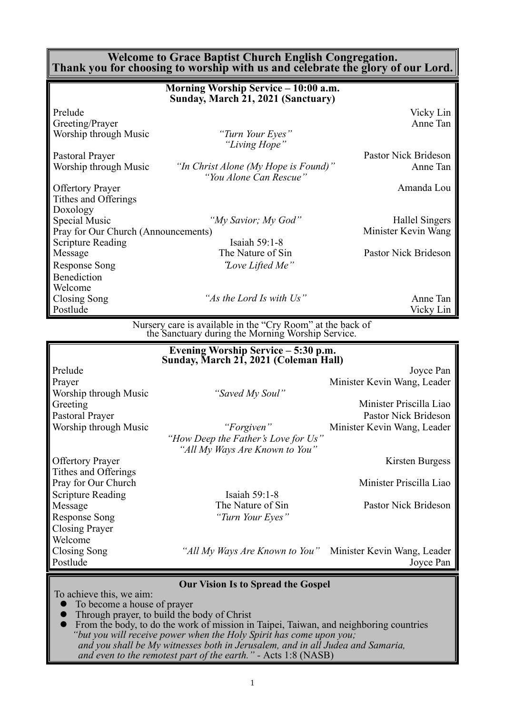#### **Welcome to Grace Baptist Church English Congregation. Thank you for choosing to worship with us and celebrate the glory of our Lord.**

|                                     | Morning Worship Service - 10:00 a.m.<br>Sunday, March 21, 2021 (Sanctuary) |                      |
|-------------------------------------|----------------------------------------------------------------------------|----------------------|
| Prelude                             |                                                                            | Vicky Lin            |
| Greeting/Prayer                     |                                                                            | Anne Tan             |
| Worship through Music               | "Turn Your Eyes"<br>"Living Hope"                                          |                      |
| Pastoral Prayer                     |                                                                            | Pastor Nick Brideson |
| Worship through Music               | "In Christ Alone (My Hope is Found)"<br>"You Alone Can Rescue"             | Anne Tan             |
| <b>Offertory Prayer</b>             |                                                                            | Amanda Lou           |
| Tithes and Offerings                |                                                                            |                      |
| Doxology                            |                                                                            |                      |
| Special Music                       | "My Savior; My God"                                                        | Hallel Singers       |
| Pray for Our Church (Announcements) |                                                                            | Minister Kevin Wang  |
| <b>Scripture Reading</b>            | Isaiah $59:1-8$                                                            |                      |
| Message                             | The Nature of Sin                                                          | Pastor Nick Brideson |
| <b>Response Song</b>                | "Love Lifted Me"                                                           |                      |
| Benediction                         |                                                                            |                      |
| Welcome                             |                                                                            |                      |
| Closing Song                        | "As the Lord Is with Us"                                                   | Anne Tan             |
| Postlude                            |                                                                            | Vicky Lin            |
|                                     | Nursery care is available in the "Cry Room" at the back of                 |                      |

the Sanctuary during the Morning Worship Service.

|                          | Evening Worship Service - 5:30 p.m.<br>Sunday, March 21, 2021 (Coleman Hall) |                             |
|--------------------------|------------------------------------------------------------------------------|-----------------------------|
| Prelude                  |                                                                              | Joyce Pan                   |
| Prayer                   |                                                                              | Minister Kevin Wang, Leader |
| Worship through Music    | "Saved My Soul"                                                              |                             |
| Greeting                 |                                                                              | Minister Priscilla Liao     |
| Pastoral Prayer          |                                                                              | Pastor Nick Brideson        |
| Worship through Music    | "Forgiven"                                                                   | Minister Kevin Wang, Leader |
|                          | "How Deep the Father's Love for Us"                                          |                             |
|                          | "All My Ways Are Known to You"                                               |                             |
| <b>Offertory Prayer</b>  |                                                                              | Kirsten Burgess             |
| Tithes and Offerings     |                                                                              |                             |
| Pray for Our Church      |                                                                              | Minister Priscilla Liao     |
| <b>Scripture Reading</b> | Isaiah 59:1-8                                                                |                             |
| Message                  | The Nature of Sin                                                            | Pastor Nick Brideson        |
| <b>Response Song</b>     | "Turn Your Eyes"                                                             |                             |
| <b>Closing Prayer</b>    |                                                                              |                             |
| Welcome                  |                                                                              |                             |
| Closing Song             | <i>"All My Ways Are Known to You"</i> Minister Kevin Wang, Leader            |                             |
| Postlude                 |                                                                              | Joyce Pan                   |
|                          | <b>Our Vision Is to Spread the Gospel</b>                                    |                             |
| To achieve this, we aim: |                                                                              |                             |

⚫ To become a house of prayer

● Through prayer, to build the body of Christ<br>● From the body to do the work of mission in

⚫ From the body, to do the work of mission in Taipei, Taiwan, and neighboring countries *"but you will receive power when the Holy Spirit has come upon you; and you shall be My witnesses both in Jerusalem, and in all Judea and Samaria, and even to the remotest part of the earth." -* Acts 1:8 (NASB)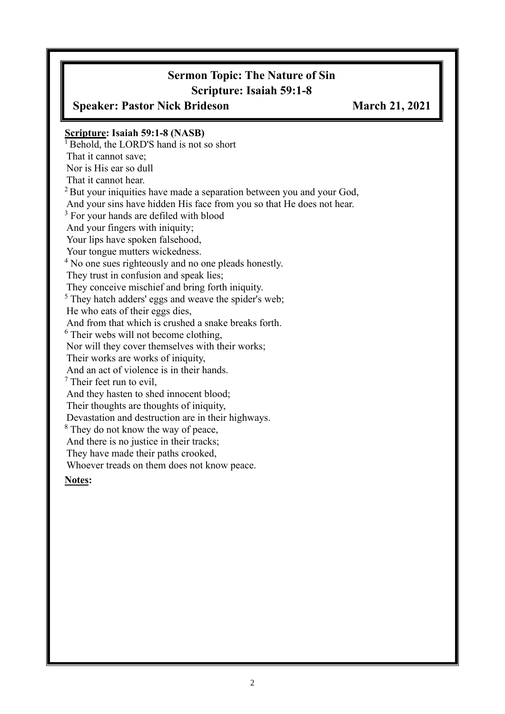# **Sermon Topic: The Nature of Sin Scripture: Isaiah 59:1-8**

**Speaker: Pastor Nick Brideson March 21, 2021 Scripture: Isaiah 59:1-8 (NASB)**  $<sup>1</sup>$  Behold, the LORD'S hand is not so short</sup> That it cannot save; Nor is His ear so dull That it cannot hear. <sup>2</sup> But vour iniquities have made a separation between you and your God, And your sins have hidden His face from you so that He does not hear. <sup>3</sup> For your hands are defiled with blood And your fingers with iniquity; Your lips have spoken falsehood, Your tongue mutters wickedness. <sup>4</sup> No one sues righteously and no one pleads honestly. They trust in confusion and speak lies; They conceive mischief and bring forth iniquity. <sup>5</sup> They hatch adders' eggs and weave the spider's web; He who eats of their eggs dies, And from that which is crushed a snake breaks forth. <sup>6</sup> Their webs will not become clothing, Nor will they cover themselves with their works; Their works are works of iniquity, And an act of violence is in their hands. <sup>7</sup> Their feet run to evil, And they hasten to shed innocent blood; Their thoughts are thoughts of iniquity, Devastation and destruction are in their highways. <sup>8</sup> They do not know the way of peace, And there is no justice in their tracks; They have made their paths crooked, Whoever treads on them does not know peace. **Notes:**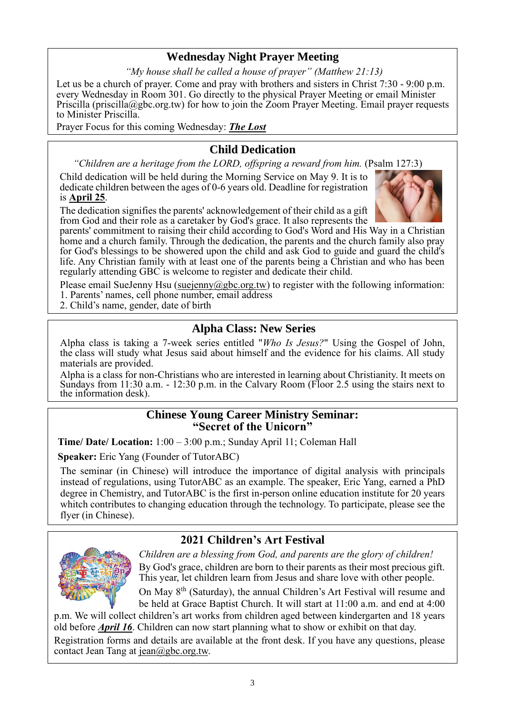# **Wednesday Night Prayer Meeting**

*"My house shall be called a house of prayer" (Matthew 21:13)*

Let us be a church of prayer. Come and pray with brothers and sisters in Christ 7:30 - 9:00 p.m. every Wednesday in Room 301. Go directly to the physical Prayer Meeting or email Minister Priscilla (priscilla@gbc.org.tw) for how to join the Zoom Prayer Meeting. Email prayer requests to Minister Priscilla.

Prayer Focus for this coming Wednesday: *The Lost*

## **Child Dedication**

*"Children are a heritage from the LORD, offspring a reward from him.* (Psalm 127:3)

Child dedication will be held during the Morning Service on May 9. It is to dedicate children between the ages of 0-6 years old. Deadline for registration is **April 25**.

The dedication signifies the parents' acknowledgement of their child as a gift from God and their role as a caretaker by God's grace. It also represents the



parents' commitment to raising their child according to God's Word and His Way in a Christian home and a church family. Through the dedication, the parents and the church family also pray for God's blessings to be showered upon the child and ask God to guide and guard the child's life. Any Christian family with at least one of the parents being a Christian and who has been regularly attending GBC is welcome to register and dedicate their child.

Please email SueJenny Hsu [\(suejenny@gbc.org.tw\)](mailto:suejenny@gbc.org.tw) to register with the following information: 1. Parents' names, cell phone number, email address

2. Child's name, gender, date of birth

## **Alpha Class: New Series**

Alpha class is taking a 7-week series entitled "*Who Is Jesus?*" Using the Gospel of John, the class will study what Jesus said about himself and the evidence for his claims. All study materials are provided.

Alpha is a class for non-Christians who are interested in learning about Christianity. It meets on Sundays from 11:30 a.m. - 12:30 p.m. in the Calvary Room (Floor 2.5 using the stairs next to the information desk).

### **Chinese Young Career Ministry Seminar: "Secret of the Unicorn"**

**Time/ Date/ Location:** 1:00 – 3:00 p.m.; Sunday April 11; Coleman Hall

**Speaker:** Eric Yang (Founder of TutorABC)

The seminar (in Chinese) will introduce the importance of digital analysis with principals instead of regulations, using TutorABC as an example. The speaker, Eric Yang, earned a PhD degree in Chemistry, and TutorABC is the first in-person online education institute for 20 years whitch contributes to changing education through the technology. To participate, please see the flyer (in Chinese).

# **2021 Children's Art Festival**



*Children are a blessing from God, and parents are the glory of children!* By God's grace, children are born to their parents as their most precious gift. This year, let children learn from Jesus and share love with other people.

On May 8th (Saturday), the annual Children's Art Festival will resume and be held at Grace Baptist Church. It will start at 11:00 a.m. and end at 4:00

p.m. We will collect children's art works from children aged between kindergarten and 18 years old before *April 16*. Children can now start planning what to show or exhibit on that day.

Registration forms and details are available at the front desk. If you have any questions, please contact Jean Tang at [jean@gbc.org.tw.](mailto:jean@gbc.org.tw)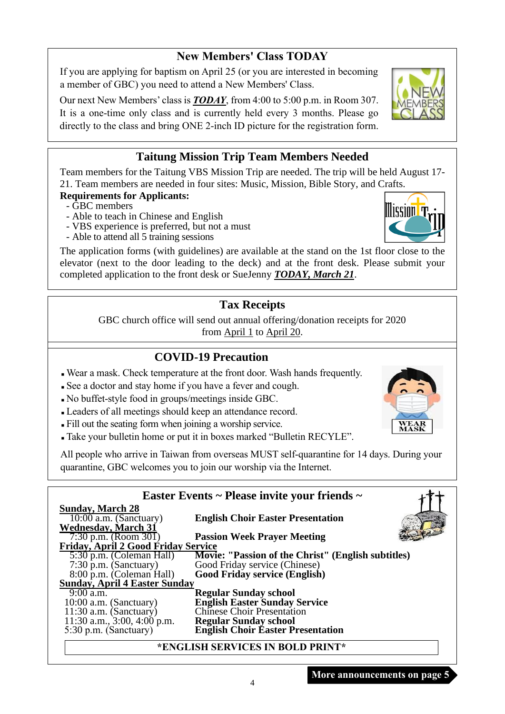## **New Members' Class TODAY**

If you are applying for baptism on April 25 (or you are interested in becoming a member of GBC) you need to attend a New Members' Class.

Our next New Members' class is *TODAY*, from 4:00 to 5:00 p.m. in Room 307. It is a one-time only class and is currently held every 3 months. Please go directly to the class and bring ONE 2-inch ID picture for the registration form.

# **Taitung Mission Trip Team Members Needed**

Team members for the Taitung VBS Mission Trip are needed. The trip will be held August 17- 21. Team members are needed in four sites: Music, Mission, Bible Story, and Crafts.

### **Requirements for Applicants:**

- GBC members
- Able to teach in Chinese and English
- VBS experience is preferred, but not a must
- Able to attend all 5 training sessions

The application forms (with guidelines) are available at the stand on the 1st floor close to the elevator (next to the door leading to the deck) and at the front desk. Please submit your completed application to the front desk or SueJenny *TODAY, March 21*.

# **Tax Receipts**

GBC church office will send out annual offering/donation receipts for 2020 from  $April 1$  to  $April 20$ .

# **COVID-19 Precaution**

- <sup>◼</sup> Wear a mask. Check temperature at the front door. Wash hands frequently.
- <sup>◼</sup> See a doctor and stay home if you have a fever and cough.
- <sup>◼</sup> No buffet-style food in groups/meetings inside GBC.
- <sup>◼</sup> Leaders of all meetings should keep an attendance record.
- <sup>◼</sup> Fill out the seating form when joining a worship service.
- <sup>◼</sup> Take your bulletin home or put it in boxes marked "Bulletin RECYLE".

All people who arrive in Taiwan from overseas MUST self-quarantine for 14 days. During your quarantine, GBC welcomes you to join our worship via the Internet.

| Easter Events ~ Please invite your friends ~ |                                                                    |  |  |  |
|----------------------------------------------|--------------------------------------------------------------------|--|--|--|
| <b>Sunday, March 28</b>                      |                                                                    |  |  |  |
| $10:00$ a.m. (Sanctuary)                     | <b>English Choir Easter Presentation</b>                           |  |  |  |
| <b>Wednesday, March 31</b>                   |                                                                    |  |  |  |
| 7:30 p.m. (Room 301)                         | <b>Passion Week Prayer Meeting</b>                                 |  |  |  |
| Friday, April 2 Good Friday Service          |                                                                    |  |  |  |
| 5:30 p.m. (Coleman Hall)                     | Movie: "Passion of the Christ" (English subtitles)                 |  |  |  |
| $7:30$ p.m. (Sanctuary)                      | Good Friday service (Chinese)                                      |  |  |  |
| 8:00 p.m. (Coleman Hall)                     | <b>Good Friday service (English)</b>                               |  |  |  |
| <b>Sunday, April 4 Easter Sunday</b>         |                                                                    |  |  |  |
| $9:00$ a.m.                                  | <b>Regular Sunday school</b>                                       |  |  |  |
| $10:00$ a.m. (Sanctuary)                     | <b>English Easter Sunday Service</b><br>Chinese Choir Presentation |  |  |  |
| $11:30$ a.m. (Sanctuary)                     |                                                                    |  |  |  |
| 11:30 a.m., $3:00, 4:00$ p.m.                | <b>Regular Sunday school</b>                                       |  |  |  |
| 5:30 p.m. (Sanctuary)                        | <b>English Choir Easter Presentation</b>                           |  |  |  |
|                                              | *ENGLISH SERVICES IN BOLD PRINT*                                   |  |  |  |

4





**Mission T**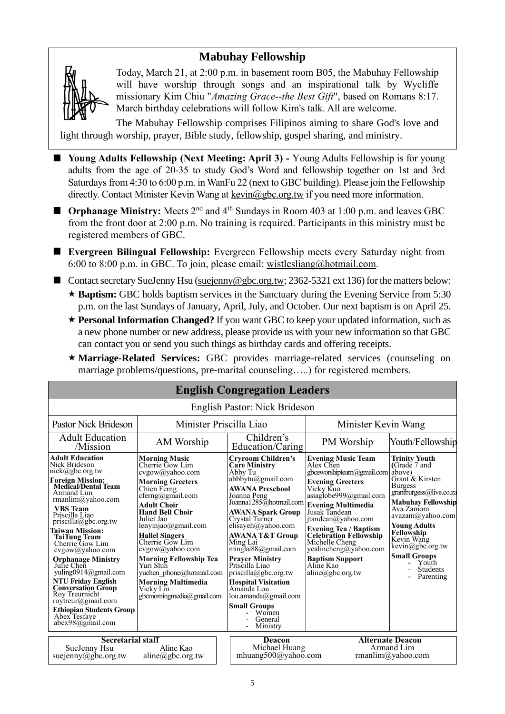# **Mabuhay Fellowship**



Today, March 21, at 2:00 p.m. in basement room B05, the Mabuhay Fellowship will have worship through songs and an inspirational talk by Wycliffe missionary Kim Chiu "*Amazing Grace--the Best Gift*", based on Romans 8:17. March birthday celebrations will follow Kim's talk. All are welcome.

The Mabuhay Fellowship comprises Filipinos aiming to share God's love and light through worship, prayer, Bible study, fellowship, gospel sharing, and ministry.

- Young Adults Fellowship (Next Meeting: April 3) Young Adults Fellowship is for young adults from the age of 20-35 to study God's Word and fellowship together on 1st and 3rd Saturdays from 4:30 to 6:00 p.m. in WanFu 22 (next to GBC building). Please join the Fellowship directly. Contact Minister Kevin Wang at kevin@gbc.org.tw if you need more information.
- **Orphanage Ministry:** Meets 2<sup>nd</sup> and 4<sup>th</sup> Sundays in Room 403 at 1:00 p.m. and leaves GBC from the front door at 2:00 p.m. No training is required. Participants in this ministry must be registered members of GBC.
- **Evergreen Bilingual Fellowship:** Evergreen Fellowship meets every Saturday night from 6:00 to 8:00 p.m. in GBC. To join, please email: [wistlesliang@hotmail.com.](mailto:wistlesliang@hotmail.com)
- Contact secretary SueJenny Hsu [\(suejenny@gbc.org.tw;](mailto:suejenny@gbc.org.tw) 2362-5321 ext 136) for the matters below:  $\star$  **Baptism:** GBC holds baptism services in the Sanctuary during the Evening Service from 5:30 p.m. on the last Sundays of January, April, July, and October. Our next baptism is on April 25.
	- ★ **Personal Information Changed?** If you want GBC to keep your updated information, such as a new phone number or new address, please provide us with your new information so that GBC can contact you or send you such things as birthday cards and offering receipts.
	- **Marriage-Related Services:** GBC provides marriage-related services (counseling on marriage problems/questions, pre-marital counseling…..) for registered members.

| <b>English Congregation Leaders</b>                                                                                                                                                                                                                                                                                                                                                                                                                                                                                                                                     |                                                                                                                                                                                                                                                                                                                                                                                                                                                                                                                                                                                                                                                                                                                                                                                                                                                                                                                  |                                          |                                                                                                                                                                                                                                                                                                                                                                                |                                                                                                                                                                                                                                                                                                                      |  |
|-------------------------------------------------------------------------------------------------------------------------------------------------------------------------------------------------------------------------------------------------------------------------------------------------------------------------------------------------------------------------------------------------------------------------------------------------------------------------------------------------------------------------------------------------------------------------|------------------------------------------------------------------------------------------------------------------------------------------------------------------------------------------------------------------------------------------------------------------------------------------------------------------------------------------------------------------------------------------------------------------------------------------------------------------------------------------------------------------------------------------------------------------------------------------------------------------------------------------------------------------------------------------------------------------------------------------------------------------------------------------------------------------------------------------------------------------------------------------------------------------|------------------------------------------|--------------------------------------------------------------------------------------------------------------------------------------------------------------------------------------------------------------------------------------------------------------------------------------------------------------------------------------------------------------------------------|----------------------------------------------------------------------------------------------------------------------------------------------------------------------------------------------------------------------------------------------------------------------------------------------------------------------|--|
| English Pastor: Nick Brideson                                                                                                                                                                                                                                                                                                                                                                                                                                                                                                                                           |                                                                                                                                                                                                                                                                                                                                                                                                                                                                                                                                                                                                                                                                                                                                                                                                                                                                                                                  |                                          |                                                                                                                                                                                                                                                                                                                                                                                |                                                                                                                                                                                                                                                                                                                      |  |
| Pastor Nick Brideson                                                                                                                                                                                                                                                                                                                                                                                                                                                                                                                                                    | Minister Priscilla Liao                                                                                                                                                                                                                                                                                                                                                                                                                                                                                                                                                                                                                                                                                                                                                                                                                                                                                          |                                          | Minister Kevin Wang                                                                                                                                                                                                                                                                                                                                                            |                                                                                                                                                                                                                                                                                                                      |  |
| <b>Adult Education</b><br>/Mission                                                                                                                                                                                                                                                                                                                                                                                                                                                                                                                                      | AM Worship                                                                                                                                                                                                                                                                                                                                                                                                                                                                                                                                                                                                                                                                                                                                                                                                                                                                                                       | Children's<br>Education/Caring           |                                                                                                                                                                                                                                                                                                                                                                                | Youth/Fellowship                                                                                                                                                                                                                                                                                                     |  |
| <b>Adult Education</b><br>Nick Brideson<br>nick@gbc.org.tw<br><b>Foreign Mission:</b><br><b>Medical/Dental Team</b><br>Armand Lim<br>rmanlim@yahoo.com<br><b>VBS</b> Team<br>Priscilla Liao<br>$priscilla(\partial gbc.org.tw)$<br><b>Taiwan Mission:</b><br><b>TaiTung Team</b><br>Cherrie Gow Lim<br>$cvgow(a)$ yahoo.com<br><b>Orphanage Ministry</b><br>Julie Chen<br>vuling0914@gmail.com<br><b>NTU Friday English</b><br><b>Conversation Group</b><br>Roy Treurnicht<br>roytreur@gmail.com<br><b>Ethiopian Students Group</b><br>Abex Tesfaye<br>abex98@gmail.com | <b>Cryroom Children's</b><br><b>Morning Music</b><br>Cherrie Gow Lim<br><b>Care Ministry</b><br>cvgow@yahoo.com<br>Abby Tu<br>$abbb{\ddot{\rm v}}\n$ tu@gmail.com<br><b>Morning Greeters</b><br><b>AWANA Preschool</b><br>Chien Ferng<br>cferng@gmail.com<br>Joanna Peng<br>Joanna1285@hotmail.com<br>Adult Choir<br><b>Hand Bell Choir</b><br><b>AWANA Spark Group</b><br>Juliet Jao<br>Crystal Turner<br>lenyinjao@gmail.com<br>elisayeh@yahoo.com<br><b>AWANA T&amp;T Group</b><br><b>Hallel Singers</b><br>Cherrie Gow Lim<br>Ming Lai<br>cvgow@yahoo.com<br>minglai88@gmail.com<br><b>Morning Fellowship Tea</b><br><b>Prayer Ministry</b><br>Yuri Shih<br>Priscilla Liao<br>yuchen phone@hotmail.com<br>$priscilla(\partial gbc.org.tw)$<br><b>Morning Multimedia</b><br><b>Hospital Visitation</b><br>Amanda Lou<br>Vicky Lin<br>gbcmorningmedia@gmail.com<br>lou.amanda@gmail.com<br><b>Small Groups</b> |                                          | <b>Evening Music Team</b><br>Alex Chen<br>gbceworshipteam@gmail.com<br><b>Evening Greeters</b><br>Vicky Kuo<br>asiaglobe999@gmail.com<br><b>Evening Multimedia</b><br>Jusak Tandean<br>itandean@yahoo.com<br>Evening Tea / Baptism<br><b>Celebration Fellowship</b><br>Michelle Cheng<br>yealincheng@yahoo.com<br><b>Baptism Support</b><br>Aline Kao<br>$aline(a)$ gbc.org.tw | <b>Trinity Youth</b><br>(Grade 7 and<br>above)<br>Grant & Kirsten<br><b>Burgess</b><br>grantburgess@live.co.za<br><b>Mabuhay Fellowship</b><br>Ava Zamora<br>avazam@yahoo.com<br><b>Young Adults</b><br>Fellowship<br>Kevin Wang<br>kevin@gbc.org.tw<br><b>Small Groups</b><br>Youth<br><b>Students</b><br>Parenting |  |
| <b>Secretarial staff</b><br>Aline Kao<br>SueJenny Hsu                                                                                                                                                                                                                                                                                                                                                                                                                                                                                                                   |                                                                                                                                                                                                                                                                                                                                                                                                                                                                                                                                                                                                                                                                                                                                                                                                                                                                                                                  | Deacon                                   | <b>Alternate Deacon</b><br>Michael Huang<br>Armand Lim                                                                                                                                                                                                                                                                                                                         |                                                                                                                                                                                                                                                                                                                      |  |
| suejenny@gbc.org.tw<br>aline@gbc.org.tw                                                                                                                                                                                                                                                                                                                                                                                                                                                                                                                                 |                                                                                                                                                                                                                                                                                                                                                                                                                                                                                                                                                                                                                                                                                                                                                                                                                                                                                                                  | mhuang500@yahoo.com<br>rmanlim@yahoo.com |                                                                                                                                                                                                                                                                                                                                                                                |                                                                                                                                                                                                                                                                                                                      |  |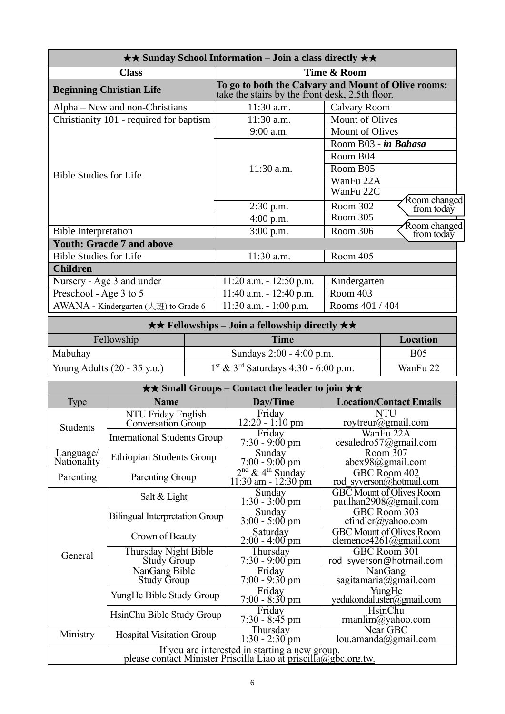| $\star\star$ Sunday School Information – Join a class directly $\star\star$ |                                                                                                        |                                        |  |  |  |
|-----------------------------------------------------------------------------|--------------------------------------------------------------------------------------------------------|----------------------------------------|--|--|--|
| <b>Class</b>                                                                | Time & Room                                                                                            |                                        |  |  |  |
| <b>Beginning Christian Life</b>                                             | To go to both the Calvary and Mount of Olive rooms:<br>take the stairs by the front desk, 2.5th floor. |                                        |  |  |  |
| Alpha – New and non-Christians                                              | 11:30 a.m.                                                                                             | Calvary Room                           |  |  |  |
| Christianity 101 - required for baptism                                     | 11:30 a.m.                                                                                             | Mount of Olives                        |  |  |  |
|                                                                             | 9:00 a.m.                                                                                              | <b>Mount of Olives</b>                 |  |  |  |
|                                                                             |                                                                                                        | Room B03 - in Bahasa                   |  |  |  |
|                                                                             |                                                                                                        | Room B04                               |  |  |  |
|                                                                             | $11:30$ a.m.                                                                                           | Room B05                               |  |  |  |
| <b>Bible Studies for Life</b>                                               |                                                                                                        | WanFu 22A                              |  |  |  |
|                                                                             |                                                                                                        | WanFu 22C                              |  |  |  |
|                                                                             | $2:30$ p.m.                                                                                            | Room changed<br>Room 302<br>from today |  |  |  |
|                                                                             | $4:00$ p.m.                                                                                            | Room 305                               |  |  |  |
| <b>Bible Interpretation</b>                                                 | $3:00$ p.m.                                                                                            | Room changed<br>Room 306<br>from today |  |  |  |
| <b>Youth: Gracde 7 and above</b>                                            |                                                                                                        |                                        |  |  |  |
| <b>Bible Studies for Life</b>                                               | $11:30$ a.m.                                                                                           | Room 405                               |  |  |  |
| <b>Children</b>                                                             |                                                                                                        |                                        |  |  |  |
| Nursery - Age 3 and under                                                   | $11:20$ a.m. $-12:50$ p.m.                                                                             | Kindergarten                           |  |  |  |
| Preschool - Age 3 to 5                                                      | $11:40$ a.m. $-12:40$ p.m.                                                                             | Room 403                               |  |  |  |
| AWANA - Kindergarten (大班) to Grade 6                                        | $11:30$ a.m. $-1:00$ p.m.                                                                              | Rooms 401 / 404                        |  |  |  |

| $\star \star$ Fellowships – Join a fellowship directly $\star \star$                                    |                            |            |  |  |
|---------------------------------------------------------------------------------------------------------|----------------------------|------------|--|--|
| Fellowship<br>Time<br>Location                                                                          |                            |            |  |  |
| Mabuhay                                                                                                 | Sundays $2:00 - 4:00$ p.m. | <b>B05</b> |  |  |
| $1st$ & 3 <sup>rd</sup> Saturdays 4:30 - 6:00 p.m.<br>Young Adults $(20 - 35 \text{ y.o.})$<br>WanFu 22 |                            |            |  |  |

| $\star\star$ Small Groups – Contact the leader to join $\star\star$                                               |                                            |                                                       |                                                           |  |
|-------------------------------------------------------------------------------------------------------------------|--------------------------------------------|-------------------------------------------------------|-----------------------------------------------------------|--|
| <b>Type</b>                                                                                                       | <b>Name</b>                                | Day/Time                                              | <b>Location/Contact Emails</b>                            |  |
| <b>Students</b>                                                                                                   | NTU Friday English<br>Conversation Group   | Friday<br>$12:20 - 1:10$ pm                           | <b>NTU</b><br>roytreur@gmail.com                          |  |
|                                                                                                                   | <b>International Students Group</b>        | Friday<br>$7:30 - 9:00 \text{ pm}$                    | WanFu 22A<br>cesaledro57@gmail.com                        |  |
| Language/<br>Nationality                                                                                          | <b>Ethiopian Students Group</b>            | Sunday<br>$7:00 - 9:00$ pm                            | Room 307<br>$abex98$ @gmail.com                           |  |
| Parenting                                                                                                         | Parenting Group                            | $2nd$ & 4 <sup>th</sup> Sunday<br>11:30 am - 12:30 pm | GBC Room 402<br>rod syverson@hotmail.com                  |  |
|                                                                                                                   | Salt $&$ Light                             | Sunday<br>$1:30 - 3:00$ pm                            | <b>GBC</b> Mount of Olives Room<br>paulhan2908@gmail.com  |  |
|                                                                                                                   | <b>Bilingual Interpretation Group</b>      | Sunday<br>$3:00 - 5:00$ pm                            | GBC Room 303<br>cfindler@yahoo.com                        |  |
|                                                                                                                   | Crown of Beauty                            | Saturday<br>$2:00 - 4:00$ pm                          | <b>GBC</b> Mount of Olives Room<br>clemence4261@gmail.com |  |
| General                                                                                                           | Thursday Night Bible<br><b>Study Group</b> | Thursday<br>$7:30 - 9:00$ pm                          | GBC Room 301<br>rod syverson@hotmail.com                  |  |
|                                                                                                                   | NanGang Bible<br><b>Study Group</b>        | Friday<br>$7:00 - 9:30$ pm                            | NanGang<br>sagitamaria@gmail.com                          |  |
|                                                                                                                   | YungHe Bible Study Group                   | Friday<br>$7:00 - 8:30$ pm                            | YungHe<br>yedukondaluster@gmail.com                       |  |
|                                                                                                                   | HsinChu Bible Study Group                  | Friday<br>$7:30 - 8:45$ pm                            | HsinChu<br>rmanlim@yahoo.com                              |  |
| Ministry                                                                                                          | <b>Hospital Visitation Group</b>           | Thursday<br>$1:30 - 2:30$ pm                          | Near GBC<br>lou.amanda@gmail.com                          |  |
| If you are interested in starting a new group,<br>please contact Minister Priscilla Liao at priscilla@gbc.org.tw. |                                            |                                                       |                                                           |  |